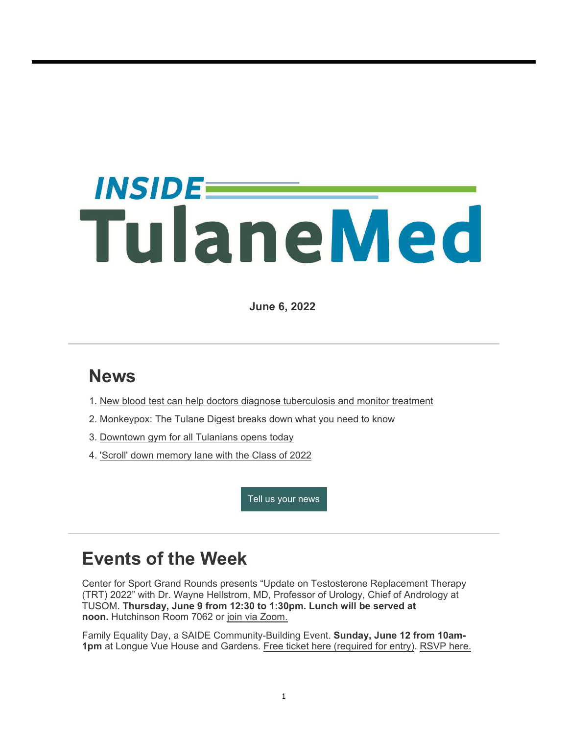# *INSIDEE* TulaneMed

**June 6, 2022**

## **News**

- 1. New blood test can help doctors diagnose tuberculosis and monitor treatment
- 2. Monkeypox: The Tulane Digest breaks down what you need to know
- 3. Downtown gym for all Tulanians opens today
- 4. 'Scroll' down memory lane with the Class of 2022

Tell us your news

## **Events of the Week**

Center for Sport Grand Rounds presents "Update on Testosterone Replacement Therapy (TRT) 2022" with Dr. Wayne Hellstrom, MD, Professor of Urology, Chief of Andrology at TUSOM. **Thursday, June 9 from 12:30 to 1:30pm. Lunch will be served at noon.** Hutchinson Room 7062 or join via Zoom.

Family Equality Day, a SAIDE Community-Building Event. **Sunday, June 12 from 10am-1pm** at Longue Vue House and Gardens. Free ticket here (required for entry). RSVP here.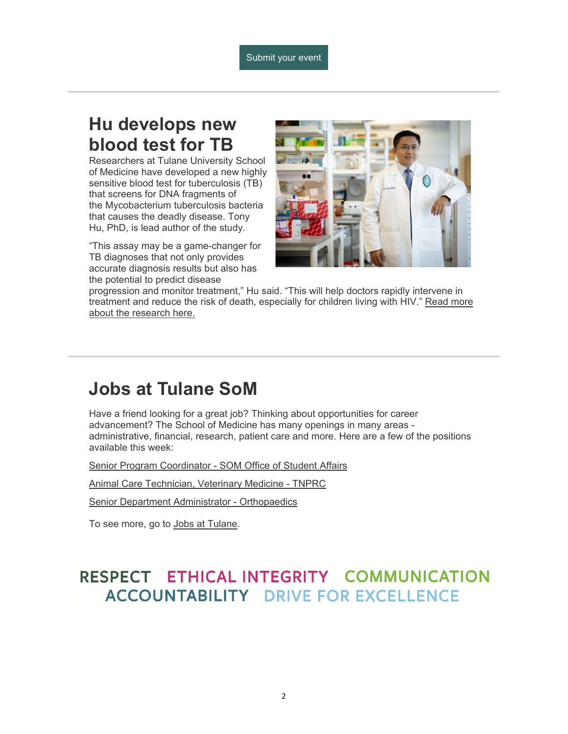### **Hu develops new blood test for TB**

Researchers at Tulane University School of Medicine have developed a new highly sensitive blood test for tuberculosis (TB) that screens for DNA fragments of the Mycobacterium tuberculosis bacteria that causes the deadly disease. Tony Hu, PhD, is lead author of the study.

"This assay may be a game-changer for TB diagnoses that not only provides accurate diagnosis results but also has the potential to predict disease



progression and monitor treatment," Hu said. "This will help doctors rapidly intervene in treatment and reduce the risk of death, especially for children living with HIV." Read more about the research here.

## **Jobs at Tulane SoM**

Have a friend looking for a great job? Thinking about opportunities for career advancement? The School of Medicine has many openings in many areas administrative, financial, research, patient care and more. Here are a few of the positions available this week:

Senior Program Coordinator - SOM Office of Student Affairs

Animal Care Technician, Veterinary Medicine - TNPRC

Senior Department Administrator - Orthopaedics

To see more, go to Jobs at Tulane.

#### RESPECT ETHICAL INTEGRITY COMMUNICATION **ACCOUNTABILITY DRIVE FOR EXCELLENCE**